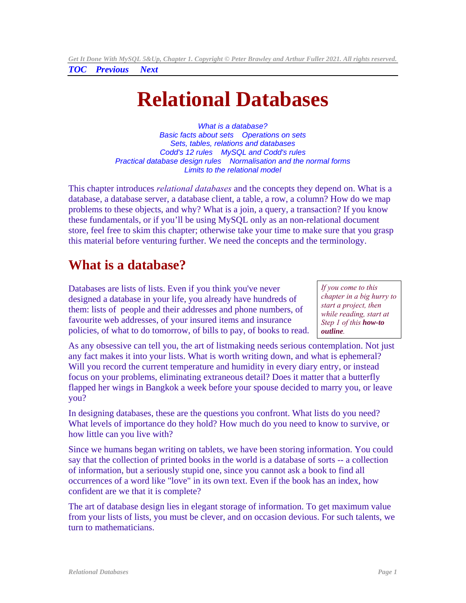<span id="page-0-1"></span>**Relational Databases** 

*[What is a database?](#page-0-0) [Basic facts about sets](#page-4-0) [Operations on sets](#page-5-0) [Sets, tables, relations and databases](#page-6-0) [Codd's 12 rules](#page-7-0) [MySQL and Codd's rules](#page-11-0)  [Practical database design rules](#page-12-0) [Normalisation and the normal forms](#page-14-0)  [Limits to the relational model](#page-21-0)*

This chapter introduces *relational databases* and the concepts they depend on. What is a database, a database server, a database client, a table, a row, a column? How do we map problems to these objects, and why? What is a join, a query, a transaction? If you know these fundamentals, or if you'll be using MySQL only as an non-relational document store, feel free to skim this chapter; otherwise take your time to make sure that you grasp this material before venturing further. We need the concepts and the terminology.

# **What is a database?**

Databases are lists of lists. Even if you think you've never designed a database in your life, you already have hundreds of them: lists of people and their addresses and phone numbers, of favourite web addresses, of your insured items and insurance policies, of what to do tomorrow, of bills to pay, of books to read.

<span id="page-0-0"></span>*If you come to this chapter in a big hurry to start a project, then while reading, start at Step 1 of this [how-to](http://www.artfulsoftware.com/dbdesignbasics.html)  [outline](http://www.artfulsoftware.com/dbdesignbasics.html).* 

As any obsessive can tell you, the art of listmaking needs serious contemplation. Not just any fact makes it into your lists. What is worth writing down, and what is ephemeral? Will you record the current temperature and humidity in every diary entry, or instead focus on your problems, eliminating extraneous detail? Does it matter that a butterfly flapped her wings in Bangkok a week before your spouse decided to marry you, or leave you?

In designing databases, these are the questions you confront. What lists do you need? What levels of importance do they hold? How much do you need to know to survive, or how little can you live with?

Since we humans began writing on tablets, we have been storing information. You could say that the collection of printed books in the world is a database of sorts -- a collection of information, but a seriously stupid one, since you cannot ask a book to find all occurrences of a word like "love" in its own text. Even if the book has an index, how confident are we that it is complete?

The art of database design lies in elegant storage of information. To get maximum value from your lists of lists, you must be clever, and on occasion devious. For such talents, we turn to mathematicians.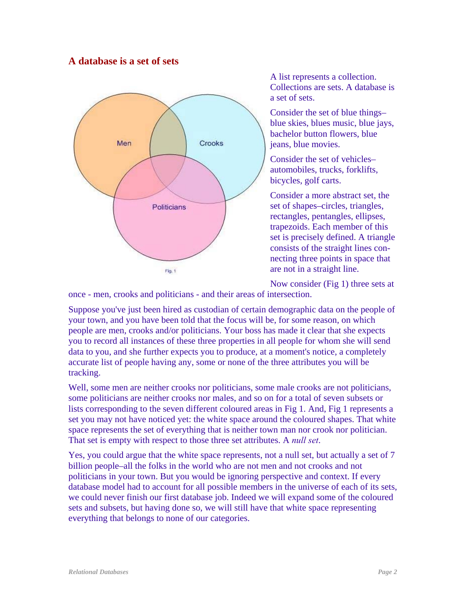#### **A database is a set of sets**



A list represents a collection. Collections are sets. A database is a set of sets.

Consider the set of blue things– blue skies, blues music, blue jays, bachelor button flowers, blue jeans, blue movies.

Consider the set of vehicles– automobiles, trucks, forklifts, bicycles, golf carts.

Consider a more abstract set, the set of shapes–circles, triangles, rectangles, pentangles, ellipses, trapezoids. Each member of this set is precisely defined. A triangle consists of the straight lines connecting three points in space that are not in a straight line.

Now consider (Fig 1) three sets at

once - men, crooks and politicians - and their areas of intersection.

Suppose you've just been hired as custodian of certain demographic data on the people of your town, and you have been told that the focus will be, for some reason, on which people are men, crooks and/or politicians. Your boss has made it clear that she expects you to record all instances of these three properties in all people for whom she will send data to you, and she further expects you to produce, at a moment's notice, a completely accurate list of people having any, some or none of the three attributes you will be tracking.

Well, some men are neither crooks nor politicians, some male crooks are not politicians, some politicians are neither crooks nor males, and so on for a total of seven subsets or lists corresponding to the seven different coloured areas in Fig 1. And, Fig 1 represents a set you may not have noticed yet: the white space around the coloured shapes. That white space represents the set of everything that is neither town man nor crook nor politician. That set is empty with respect to those three set attributes. A *null set*.

Yes, you could argue that the white space represents, not a null set, but actually a set of 7 billion people–all the folks in the world who are not men and not crooks and not politicians in your town. But you would be ignoring perspective and context. If every database model had to account for all possible members in the universe of each of its sets, we could never finish our first database job. Indeed we will expand some of the coloured sets and subsets, but having done so, we will still have that white space representing everything that belongs to none of our categories.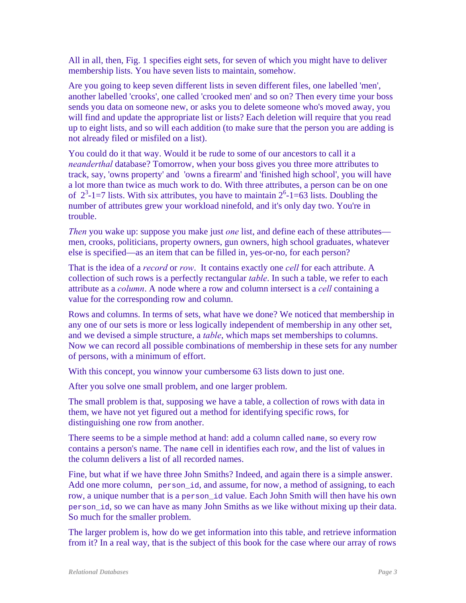All in all, then, Fig. 1 specifies eight sets, for seven of which you might have to deliver membership lists. You have seven lists to maintain, somehow.

Are you going to keep seven different lists in seven different files, one labelled 'men', another labelled 'crooks', one called 'crooked men' and so on? Then every time your boss sends you data on someone new, or asks you to delete someone who's moved away, you will find and update the appropriate list or lists? Each deletion will require that you read up to eight lists, and so will each addition (to make sure that the person you are adding is not already filed or misfiled on a list).

You could do it that way. Would it be rude to some of our ancestors to call it a *neanderthal* database? Tomorrow, when your boss gives you three more attributes to track, say, 'owns property' and 'owns a firearm' and 'finished high school', you will have a lot more than twice as much work to do. With three attributes, a person can be on one of  $2^3$ -1=7 lists. With six attributes, you have to maintain  $2^6$ -1=63 lists. Doubling the number of attributes grew your workload ninefold, and it's only day two. You're in trouble.

*Then* you wake up: suppose you make just *one* list, and define each of these attributes men, crooks, politicians, property owners, gun owners, high school graduates, whatever else is specified—as an item that can be filled in, yes-or-no, for each person?

That is the idea of a *record* or *row*. It contains exactly one *cell* for each attribute. A collection of such rows is a perfectly rectangular *table*. In such a table, we refer to each attribute as a *column*. A node where a row and column intersect is a *cell* containing a value for the corresponding row and column.

Rows and columns. In terms of sets, what have we done? We noticed that membership in any one of our sets is more or less logically independent of membership in any other set, and we devised a simple structure, a *table*, which maps set memberships to columns. Now we can record all possible combinations of membership in these sets for any number of persons, with a minimum of effort.

With this concept, you winnow your cumbersome 63 lists down to just one.

After you solve one small problem, and one larger problem.

The small problem is that, supposing we have a table, a collection of rows with data in them, we have not yet figured out a method for identifying specific rows, for distinguishing one row from another.

There seems to be a simple method at hand: add a column called name, so every row contains a person's name. The name cell in identifies each row, and the list of values in the column delivers a list of all recorded names.

Fine, but what if we have three John Smiths? Indeed, and again there is a simple answer. Add one more column, person\_id, and assume, for now, a method of assigning, to each row, a unique number that is a person\_id value. Each John Smith will then have his own person\_id, so we can have as many John Smiths as we like without mixing up their data. So much for the smaller problem.

The larger problem is, how do we get information into this table, and retrieve information from it? In a real way, that is the subject of this book for the case where our array of rows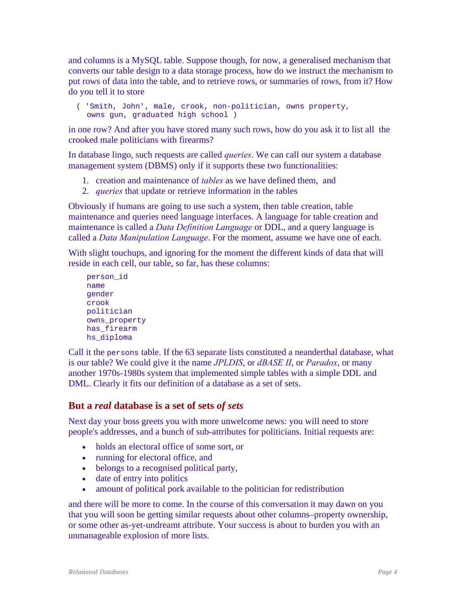and columns is a MySQL table. Suppose though, for now, a generalised mechanism that converts our table design to a data storage process, how do we instruct the mechanism to put rows of data into the table, and to retrieve rows, or summaries of rows, from it? How do you tell it to store

 ( 'Smith, John', male, crook, non-politician, owns property, owns gun, graduated high school )

in one row? And after you have stored many such rows, how do you ask it to list all the crooked male politicians with firearms?

In database lingo, such requests are called *queries*. We can call our system a database management system (DBMS) only if it supports these two functionalities:

- 1. creation and maintenance of *tables* as we have defined them, and
- 2. *queries* that update or retrieve information in the tables

Obviously if humans are going to use such a system, then table creation, table maintenance and queries need language interfaces. A language for table creation and maintenance is called a *Data Definition Language* or DDL, and a query language is called a *Data Manipulation Language*. For the moment, assume we have one of each.

With slight touchups, and ignoring for the moment the different kinds of data that will reside in each cell, our table, so far, has these columns:

```
 person_id 
 name 
 gender 
 crook 
 politician 
 owns_property 
has firearm
hs diploma
```
Call it the persons table. If the 63 separate lists constituted a neanderthal database, what is our table? We could give it the name *JPLDIS*, or *dBASE II*, or *Paradox*, or many another 1970s-1980s system that implemented simple tables with a simple DDL and DML. Clearly it fits our definition of a database as a set of sets.

#### <span id="page-3-0"></span>**But a** *real* **database is a set of sets** *of sets*

Next day your boss greets you with more unwelcome news: you will need to store people's addresses, and a bunch of sub-attributes for politicians. Initial requests are:

- holds an electoral office of some sort, or
- running for electoral office, and
- belongs to a recognised political party,
- date of entry into politics
- amount of political pork available to the politician for redistribution

and there will be more to come. In the course of this conversation it may dawn on you that you will soon be getting similar requests about other columns–property ownership, or some other as-yet-undreamt attribute. Your success is about to burden you with an unmanageable explosion of more lists.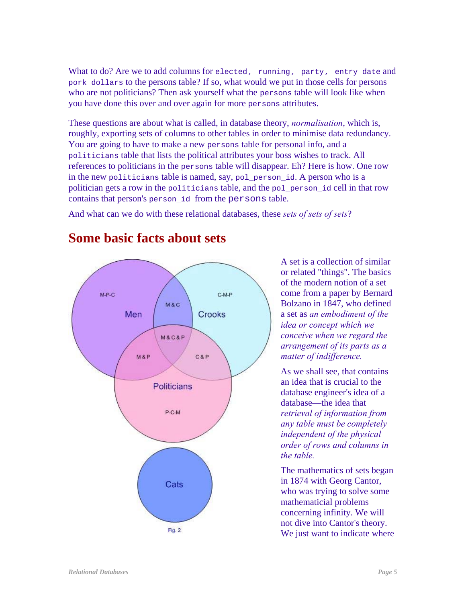What to do? Are we to add columns for elected*,* running*,* party*,* entry date and pork dollars to the persons table? If so, what would we put in those cells for persons who are not politicians? Then ask yourself what the persons table will look like when you have done this over and over again for more persons attributes.

These questions are about what is called, in database theory, *normalisation*, which is, roughly, exporting sets of columns to other tables in order to minimise data redundancy. You are going to have to make a new persons table for personal info, and a politicians table that lists the political attributes your boss wishes to track. All references to politicians in the persons table will disappear. Eh? Here is how. One row in the new politicians table is named, say, pol person id. A person who is a politician gets a row in the politicians table, and the pol\_person\_id cell in that row contains that person's person\_id from the persons table.

And what can we do with these relational databases, these *sets of sets of sets*?



## <span id="page-4-0"></span>**Some basic facts about sets**

A set is a collection of similar or related "things". The basics of the modern notion of a set come from a paper by Bernard Bolzano in 1847, who defined a set as *an embodiment of the idea or concept which we conceive when we regard the arrangement of its parts as a matter of indifference.* 

As we shall see, that contains an idea that is crucial to the database engineer's idea of a database—the idea that *retrieval of information from any table must be completely independent of the physical order of rows and columns in the table.*

The mathematics of sets began in 1874 with Georg Cantor, who was trying to solve some mathematicial problems concerning infinity. We will not dive into Cantor's theory. We just want to indicate where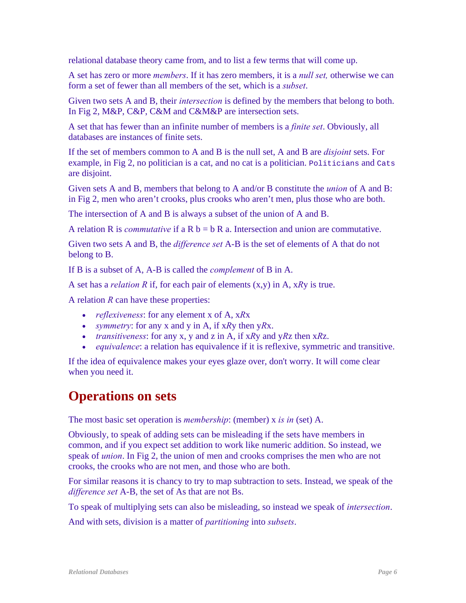relational database theory came from, and to list a few terms that will come up.

A set has zero or more *members*. If it has zero members, it is a *null set,* otherwise we can form a set of fewer than all members of the set, which is a *subset*.

Given two sets A and B, their *intersection* is defined by the members that belong to both. In Fig 2, M&P, C&P, C&M and C&M&P are intersection sets.

A set that has fewer than an infinite number of members is a *finite set*. Obviously, all databases are instances of finite sets.

If the set of members common to A and B is the null set, A and B are *disjoint* sets. For example, in Fig 2, no politician is a cat, and no cat is a politician. Politicians and Cats are disjoint.

Given sets A and B, members that belong to A and/or B constitute the *union* of A and B: in Fig 2, men who aren't crooks, plus crooks who aren't men, plus those who are both.

The intersection of A and B is always a subset of the union of A and B.

A relation R is *commutative* if a R  $b = b R$  a. Intersection and union are commutative.

Given two sets A and B, the *difference set* A-B is the set of elements of A that do not belong to B.

If B is a subset of A, A-B is called the *complement* of B in A.

A set has a *relation R* if, for each pair of elements (x,y) in A, x*R*y is true.

A relation *R* can have these properties:

- *reflexiveness*: for any element x of A, x*R*x
- *symmetry*: for any x and y in A, if x*R*y then y*R*x.
- *transitiveness*: for any x, y and z in A, if x*R*y and y*R*z then x*R*z.
- *equivalence*: a relation has equivalence if it is reflexive, symmetric and transitive.

If the idea of equivalence makes your eyes glaze over, don't worry. It will come clear when you need it.

## <span id="page-5-0"></span>**Operations on sets**

The most basic set operation is *membership*: (member) x *is in* (set) A.

Obviously, to speak of adding sets can be misleading if the sets have members in common, and if you expect set addition to work like numeric addition. So instead, we speak of *union*. In Fig 2, the union of men and crooks comprises the men who are not crooks, the crooks who are not men, and those who are both.

For similar reasons it is chancy to try to map subtraction to sets. Instead, we speak of the *difference set* A-B, the set of As that are not Bs.

To speak of multiplying sets can also be misleading, so instead we speak of *intersection*.

And with sets, division is a matter of *partitioning* into *subsets*.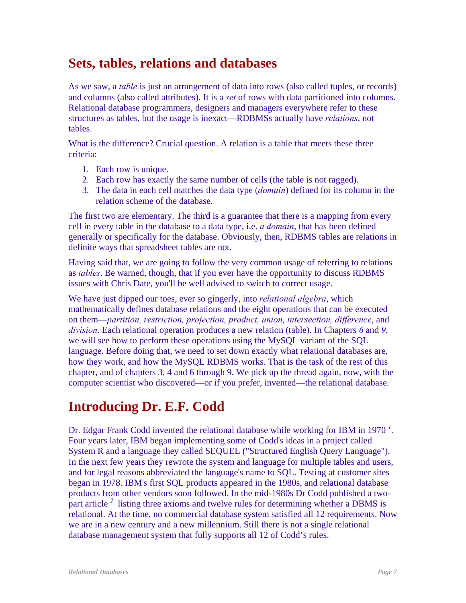## <span id="page-6-0"></span>**Sets, tables, relations and databases**

As we saw, a *table* is just an arrangement of data into rows (also called tuples, or records) and columns (also called attributes). It is a *set* of rows with data partitioned into columns. Relational database programmers, designers and managers everywhere refer to these structures as tables, but the usage is inexact—RDBMSs actually have *relations*, not tables.

<span id="page-6-1"></span>What is the difference? Crucial question. A relation is a table that meets these three criteria:

- 1. Each row is unique.
- 2. Each row has exactly the same number of cells (the table is not ragged).
- 3. The data in each cell matches the data type (*domain*) defined for its column in the relation scheme of the database.

The first two are elementary. The third is a guarantee that there is a mapping from every cell in every table in the database to a data type, i.e. *a domain*, that has been defined generally or specifically for the database. Obviously, then, RDBMS tables are relations in definite ways that spreadsheet tables are not.

Having said that, we are going to follow the very common usage of referring to relations as *tables*. Be warned, though, that if you ever have the opportunity to discuss RDBMS issues with Chris Date, you'll be well advised to switch to correct usage.

We have just dipped our toes, ever so gingerly, into *relational algebra*, which mathematically defines database relations and the eight operations that can be executed on them—*partition, restriction, projection, product, union, intersection, difference*, and *division*. Each relational operation produces a new relation (table). In Chapters *[6](#page-0-1)* and *[9](#page-0-1)*, we will see how to perform these operations using the MySQL variant of the SQL language. Before doing that, we need to set down exactly what relational databases are, how they work, and how the MySQL RDBMS works. That is the task of the rest of this chapter, and of chapters 3, 4 and 6 through 9. We pick up the thread again, now, with the computer scientist who discovered—or if you prefer, invented—the relational database.

# **Introducing Dr. E.F. Codd**

Dr. Edgar Frank Codd invented the relational database while working for IBM in 1970*<sup>1</sup>* . Four years later, IBM began implementing some of Codd's ideas in a project called System R and a language they called SEQUEL ("Structured English Query Language"). In the next few years they rewrote the system and language for multiple tables and users, and for legal reasons abbreviated the language's name to SQL. Testing at customer sites began in 1978. IBM's first SQL products appeared in the 1980s, and relational database products from other vendors soon followed. In the mid-1980s Dr Codd published a twopartarticle<sup>2</sup> listing three axioms and twelve rules for determining whether a DBMS is relational. At the time, no commercial database system satisfied all 12 requirements. Now we are in a new century and a new millennium. Still there is not a single relational database management system that fully supports all 12 of Codd's rules.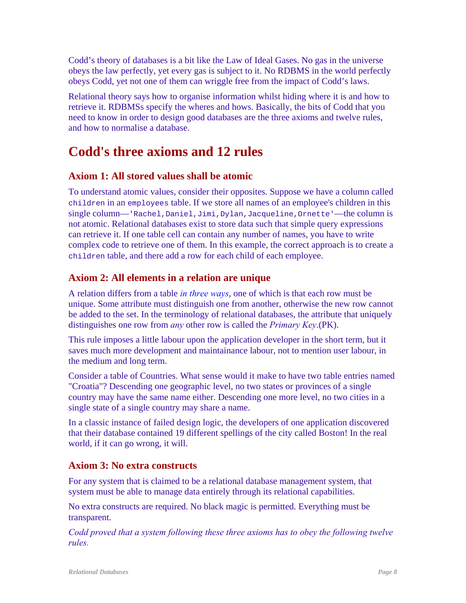Codd's theory of databases is a bit like the Law of Ideal Gases. No gas in the universe obeys the law perfectly, yet every gas is subject to it. No RDBMS in the world perfectly obeys Codd, yet not one of them can wriggle free from the impact of Codd's laws.

Relational theory says how to organise information whilst hiding where it is and how to retrieve it. RDBMSs specify the wheres and hows. Basically, the bits of Codd that you need to know in order to design good databases are the three axioms and twelve rules, and how to normalise a database.

# <span id="page-7-0"></span>**Codd's three axioms and 12 rules**

## <span id="page-7-1"></span>**Axiom 1: All stored values shall be atomic**

To understand atomic values, consider their opposites. Suppose we have a column called children in an employees table. If we store all names of an employee's children in this single column—'Rachel,Daniel,Jimi,Dylan,Jacqueline,Ornette'—the column is not atomic. Relational databases exist to store data such that simple query expressions can retrieve it. If one table cell can contain any number of names, you have to write complex code to retrieve one of them. In this example, the correct approach is to create a children table, and there add a row for each child of each employee.

## <span id="page-7-2"></span>**Axiom 2: All elements in a relation are unique**

A relation differs from a table *[in three ways](#page-6-1)*, one of which is that each row must be unique. Some attribute must distinguish one from another, otherwise the new row cannot be added to the set. In the terminology of relational databases, the attribute that uniquely distinguishes one row from *any* other row is called the *Primary Key*.(PK).

This rule imposes a little labour upon the application developer in the short term, but it saves much more development and maintainance labour, not to mention user labour, in the medium and long term.

Consider a table of Countries. What sense would it make to have two table entries named "Croatia"? Descending one geographic level, no two states or provinces of a single country may have the same name either. Descending one more level, no two cities in a single state of a single country may share a name.

In a classic instance of failed design logic, the developers of one application discovered that their database contained 19 different spellings of the city called Boston! In the real world, if it can go wrong, it will.

### **Axiom 3: No extra constructs**

For any system that is claimed to be a relational database management system, that system must be able to manage data entirely through its relational capabilities.

No extra constructs are required. No black magic is permitted. Everything must be transparent.

*Codd proved that a system following these three axioms has to obey the following twelve rules.*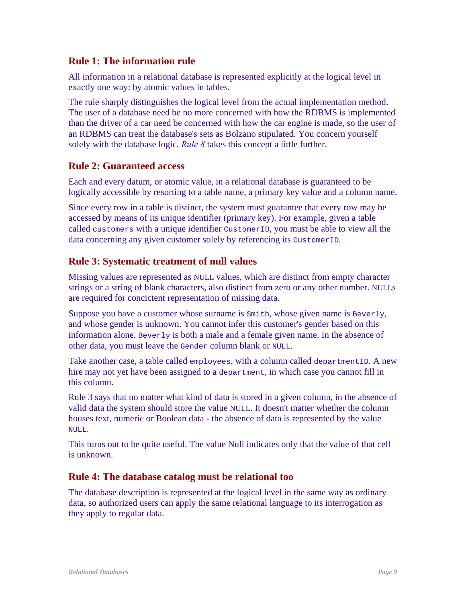#### **Rule 1: The information rule**

All information in a relational database is represented explicitly at the logical level in exactly one way: by atomic values in tables.

The rule sharply distinguishes the logical level from the actual implementation method. The user of a database need be no more concerned with how the RDBMS is implemented than the driver of a car need be concerned with how the car engine is made, so the user of an RDBMS can treat the database's sets as Bolzano stipulated. You concern yourself solely with the database logic. *[Rule 8](#page-9-0)* takes this concept a little further.

#### **Rule 2: Guaranteed access**

Each and every datum, or atomic value, in a relational database is guaranteed to be logically accessible by resorting to a table name, a primary key value and a column name.

Since every row in a table is distinct, the system must guarantee that every row may be accessed by means of its unique identifier (primary key). For example, given a table called customers with a unique identifier CustomerID, you must be able to view all the data concerning any given customer solely by referencing its CustomerID.

## **Rule 3: Systematic treatment of null values**

Missing values are represented as NULL values, which are distinct from empty character strings or a string of blank characters, also distinct from zero or any other number. NULLs are required for concictent representation of missing data.

Suppose you have a customer whose surname is  $Smith$ , whose given name is Beverly, and whose gender is unknown. You cannot infer this customer's gender based on this information alone. Beverly is both a male and a female given name. In the absence of other data, you must leave the Gender column blank or NULL.

Take another case, a table called employees, with a column called departmentID. A new hire may not yet have been assigned to a department, in which case you cannot fill in this column.

Rule 3 says that no matter what kind of data is stored in a given column, in the absence of valid data the system should store the value NULL. It doesn't matter whether the column houses text, numeric or Boolean data - the absence of data is represented by the value NULL.

This turns out to be quite useful. The value Null indicates only that the value of that cell is unknown.

### **Rule 4: The database catalog must be relational too**

The database description is represented at the logical level in the same way as ordinary data, so authorized users can apply the same relational language to its interrogation as they apply to regular data.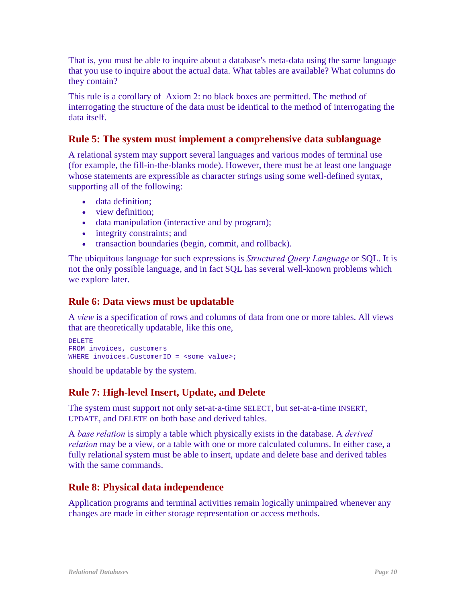That is, you must be able to inquire about a database's meta-data using the same language that you use to inquire about the actual data. What tables are available? What columns do they contain?

This rule is a corollary of Axiom 2: no black boxes are permitted. The method of interrogating the structure of the data must be identical to the method of interrogating the data itself.

### **Rule 5: The system must implement a comprehensive data sublanguage**

A relational system may support several languages and various modes of terminal use (for example, the fill-in-the-blanks mode). However, there must be at least one language whose statements are expressible as character strings using some well-defined syntax, supporting all of the following:

- data definition;
- view definition:
- data manipulation (interactive and by program);
- integrity constraints; and
- transaction boundaries (begin, commit, and rollback).

The ubiquitous language for such expressions is *Structured Query Language* or SQL. It is not the only possible language, and in fact SQL has several well-known problems which we explore later.

#### **Rule 6: Data views must be updatable**

A *view* is a specification of rows and columns of data from one or more tables. All views that are theoretically updatable, like this one,

```
DELETE 
FROM invoices, customers 
WHERE invoices. CustomerID = <some value>;
```
should be updatable by the system.

### **Rule 7: High-level Insert, Update, and Delete**

The system must support not only set-at-a-time SELECT, but set-at-a-time INSERT, UPDATE, and DELETE on both base and derived tables.

A *base relation* is simply a table which physically exists in the database. A *derived relation* may be a view, or a table with one or more calculated columns. In either case, a fully relational system must be able to insert, update and delete base and derived tables with the same commands.

### <span id="page-9-0"></span>**Rule 8: Physical data independence**

Application programs and terminal activities remain logically unimpaired whenever any changes are made in either storage representation or access methods.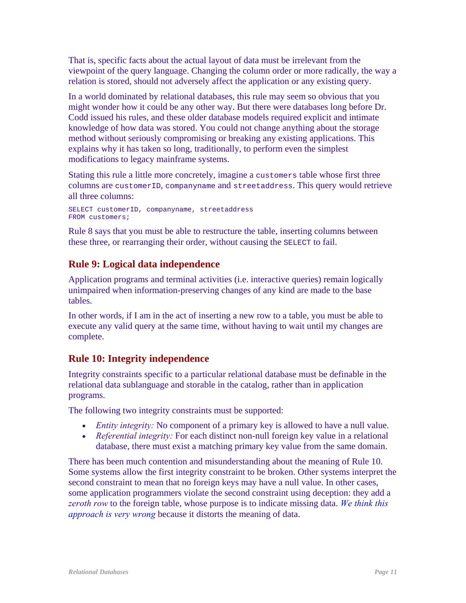That is, specific facts about the actual layout of data must be irrelevant from the viewpoint of the query language. Changing the column order or more radically, the way a relation is stored, should not adversely affect the application or any existing query.

In a world dominated by relational databases, this rule may seem so obvious that you might wonder how it could be any other way. But there were databases long before Dr. Codd issued his rules, and these older database models required explicit and intimate knowledge of how data was stored. You could not change anything about the storage method without seriously compromising or breaking any existing applications. This explains why it has taken so long, traditionally, to perform even the simplest modifications to legacy mainframe systems.

Stating this rule a little more concretely, imagine a customers table whose first three columns are customerID, companyname and streetaddress. This query would retrieve all three columns:

```
SELECT customerID, companyname, streetaddress 
FROM customers;
```
Rule 8 says that you must be able to restructure the table, inserting columns between these three, or rearranging their order, without causing the SELECT to fail.

## **Rule 9: Logical data independence**

Application programs and terminal activities (i.e. interactive queries) remain logically unimpaired when information-preserving changes of any kind are made to the base tables.

In other words, if I am in the act of inserting a new row to a table, you must be able to execute any valid query at the same time, without having to wait until my changes are complete.

### **Rule 10: Integrity independence**

Integrity constraints specific to a particular relational database must be definable in the relational data sublanguage and storable in the catalog, rather than in application programs.

The following two integrity constraints must be supported:

- *Entity integrity:* No component of a primary key is allowed to have a null value.
- *Referential integrity:* For each distinct non-null foreign key value in a relational database, there must exist a matching primary key value from the same domain.

There has been much contention and misunderstanding about the meaning of Rule 10. Some systems allow the first integrity constraint to be broken. Other systems interpret the second constraint to mean that no foreign keys may have a null value. In other cases, some application programmers violate the second constraint using deception: they add a *zeroth row* to the foreign table, whose purpose is to indicate missing data. *[We think this](#page-13-0)  [approach is very wrong](#page-13-0)* because it distorts the meaning of data.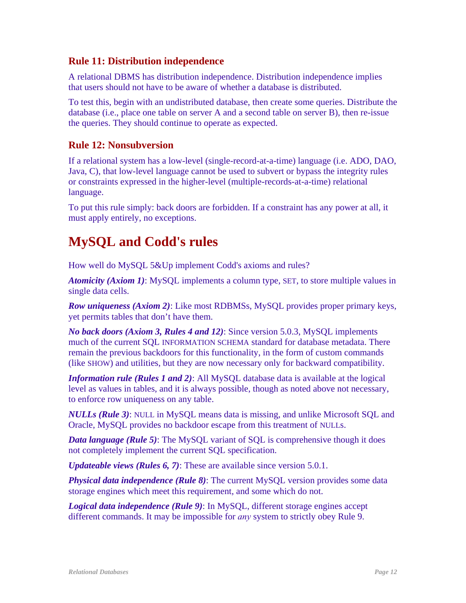#### **Rule 11: Distribution independence**

A relational DBMS has distribution independence. Distribution independence implies that users should not have to be aware of whether a database is distributed.

To test this, begin with an undistributed database, then create some queries. Distribute the database (i.e., place one table on server A and a second table on server B), then re-issue the queries. They should continue to operate as expected.

#### **Rule 12: Nonsubversion**

If a relational system has a low-level (single-record-at-a-time) language (i.e. ADO, DAO, Java, C), that low-level language cannot be used to subvert or bypass the integrity rules or constraints expressed in the higher-level (multiple-records-at-a-time) relational language.

To put this rule simply: back doors are forbidden. If a constraint has any power at all, it must apply entirely, no exceptions.

## <span id="page-11-0"></span>**MySQL and Codd's rules**

How well do MySQL 5&Up implement Codd's axioms and rules?

*Atomicity (Axiom 1)*: MySQL implements a column type, SET, to store multiple values in single data cells.

*Row uniqueness (Axiom 2)*: Like most RDBMSs, MySQL provides proper primary keys, yet permits tables that don't have them.

*No back doors (Axiom 3, Rules 4 and 12)*: Since version 5.0.3, MySQL implements much of the current SQL INFORMATION SCHEMA standard for database metadata. There remain the previous backdoors for this functionality, in the form of custom commands (like SHOW) and utilities, but they are now necessary only for backward compatibility.

*Information rule (Rules 1 and 2)*: All MySQL database data is available at the logical level as values in tables, and it is always possible, though as noted above not necessary, to enforce row uniqueness on any table.

*NULLs (Rule 3)*: NULL in MySQL means data is missing, and unlike Microsoft SQL and Oracle, MySQL provides no backdoor escape from this treatment of NULLs.

*Data language (Rule 5)*: The MySQL variant of SQL is comprehensive though it does not completely implement the current SQL specification.

*Updateable views (Rules 6, 7)*: These are available since version 5.0.1.

*Physical data independence (Rule 8)*: The current MySQL version provides some data storage engines which meet this requirement, and some which do not.

*Logical data independence (Rule 9)*: In MySQL, different storage engines accept different commands. It may be impossible for *any* system to strictly obey Rule 9.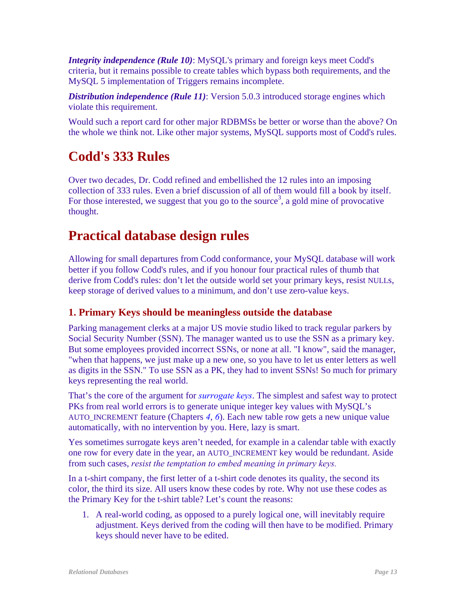*Integrity independence (Rule 10)*: MySQL's primary and foreign keys meet Codd's criteria, but it remains possible to create tables which bypass both requirements, and the MySQL 5 implementation of Triggers remains incomplete.

**Distribution independence (Rule 11)**: Version 5.0.3 introduced storage engines which violate this requirement.

Would such a report card for other major RDBMSs be better or worse than the above? On the whole we think not. Like other major systems, MySQL supports most of Codd's rules.

# **Codd's 333 Rules**

Over two decades, Dr. Codd refined and embellished the 12 rules into an imposing collection of 333 rules. Even a brief discussion of all of them would fill a book by itself. For those interested, we suggest that you go to the source<sup>3</sup>, a gold mine of provocative thought.

# <span id="page-12-0"></span>**Practical database design rules**

Allowing for small departures from Codd conformance, your MySQL database will work better if you follow Codd's rules, and if you honour four practical rules of thumb that derive from Codd's rules: don't let the outside world set your primary keys, resist NULLs, keep storage of derived values to a minimum, and don't use zero-value keys.

## **1. Primary Keys should be meaningless outside the database**

Parking management clerks at a major US movie studio liked to track regular parkers by Social Security Number (SSN). The manager wanted us to use the SSN as a primary key. But some employees provided incorrect SSNs, or none at all. "I know", said the manager, "when that happens, we just make up a new one, so you have to let us enter letters as well as digits in the SSN." To use SSN as a PK, they had to invent SSNs! So much for primary keys representing the real world.

That's the core of the argument for *[surrogate keys](#page-0-1)*. The simplest and safest way to protect PKs from real world errors is to generate unique integer key values with MySQL's AUTO\_INCREMENT feature (Chapters *[4](#page-0-1)*, *[6](#page-0-1)*). Each new table row gets a new unique value automatically, with no intervention by you. Here, lazy is smart.

Yes sometimes surrogate keys aren't needed, for example in a calendar table with exactly one row for every date in the year, an AUTO\_INCREMENT key would be redundant. Aside from such cases, *resist the temptation to embed meaning in primary keys.* 

In a t-shirt company, the first letter of a t-shirt code denotes its quality, the second its color, the third its size. All users know these codes by rote. Why not use these codes as the Primary Key for the t-shirt table? Let's count the reasons:

1. A real-world coding, as opposed to a purely logical one, will inevitably require adjustment. Keys derived from the coding will then have to be modified. Primary keys should never have to be edited.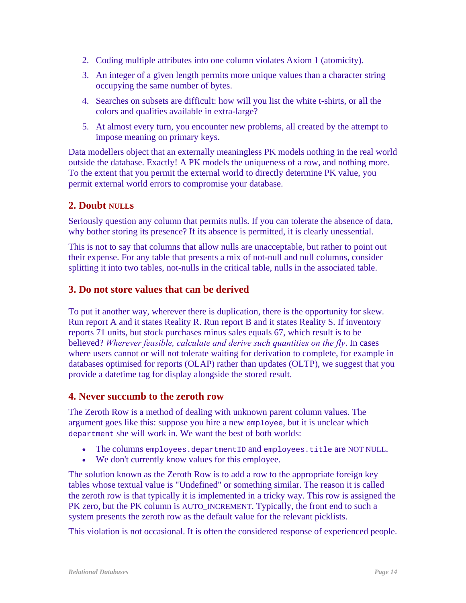- 2. Coding multiple attributes into one column violates Axiom 1 (atomicity).
- 3. An integer of a given length permits more unique values than a character string occupying the same number of bytes.
- 4. Searches on subsets are difficult: how will you list the white t-shirts, or all the colors and qualities available in extra-large?
- 5. At almost every turn, you encounter new problems, all created by the attempt to impose meaning on primary keys.

Data modellers object that an externally meaningless PK models nothing in the real world outside the database. Exactly! A PK models the uniqueness of a row, and nothing more. To the extent that you permit the external world to directly determine PK value, you permit external world errors to compromise your database.

### **2. Doubt NULLs**

Seriously question any column that permits nulls. If you can tolerate the absence of data, why bother storing its presence? If its absence is permitted, it is clearly unessential.

This is not to say that columns that allow nulls are unacceptable, but rather to point out their expense. For any table that presents a mix of not-null and null columns, consider splitting it into two tables, not-nulls in the critical table, nulls in the associated table.

#### **3. Do not store values that can be derived**

To put it another way, wherever there is duplication, there is the opportunity for skew. Run report A and it states Reality R. Run report B and it states Reality S. If inventory reports 71 units, but stock purchases minus sales equals 67, which result is to be believed? *Wherever feasible, calculate and derive such quantities on the fly*. In cases where users cannot or will not tolerate waiting for derivation to complete, for example in databases optimised for reports (OLAP) rather than updates (OLTP), we suggest that you provide a datetime tag for display alongside the stored result.

#### <span id="page-13-0"></span>**4. Never succumb to the zeroth row**

The Zeroth Row is a method of dealing with unknown parent column values. The argument goes like this: suppose you hire a new employee, but it is unclear which department she will work in. We want the best of both worlds:

- The columns employees.departmentID and employees.title are NOT NULL.
- We don't currently know values for this employee.

The solution known as the Zeroth Row is to add a row to the appropriate foreign key tables whose textual value is "Undefined" or something similar. The reason it is called the zeroth row is that typically it is implemented in a tricky way. This row is assigned the PK zero, but the PK column is AUTO\_INCREMENT. Typically, the front end to such a system presents the zeroth row as the default value for the relevant picklists.

This violation is not occasional. It is often the considered response of experienced people.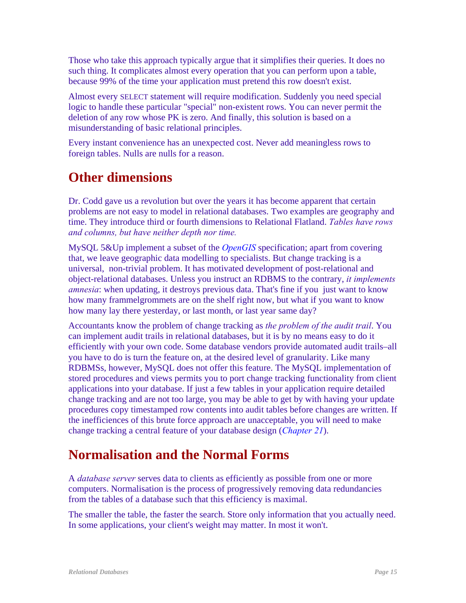Those who take this approach typically argue that it simplifies their queries. It does no such thing. It complicates almost every operation that you can perform upon a table, because 99% of the time your application must pretend this row doesn't exist.

Almost every SELECT statement will require modification. Suddenly you need special logic to handle these particular "special" non-existent rows. You can never permit the deletion of any row whose PK is zero. And finally, this solution is based on a misunderstanding of basic relational principles.

Every instant convenience has an unexpected cost. Never add meaningless rows to foreign tables. Nulls are nulls for a reason.

## **Other dimensions**

Dr. Codd gave us a revolution but over the years it has become apparent that certain problems are not easy to model in relational databases. Two examples are geography and time. They introduce third or fourth dimensions to Relational Flatland. *Tables have rows and columns, but have neither depth nor time.* 

MySQL 5&Up implement a subset of the *[OpenGIS](http://www.opengis.org/)* specification; apart from covering that, we leave geographic data modelling to specialists. But change tracking is a universal, non-trivial problem. It has motivated development of post-relational and object-relational databases. Unless you instruct an RDBMS to the contrary, *it implements amnesia*: when updating, it destroys previous data. That's fine if you just want to know how many frammelgrommets are on the shelf right now, but what if you want to know how many lay there yesterday, or last month, or last year same day?

Accountants know the problem of change tracking as *the problem of the audit trail*. You can implement audit trails in relational databases, but it is by no means easy to do it efficiently with your own code. Some database vendors provide automated audit trails–all you have to do is turn the feature on, at the desired level of granularity. Like many RDBMSs, however, MySQL does not offer this feature. The MySQL implementation of stored procedures and views permits you to port change tracking functionality from client applications into your database. If just a few tables in your application require detailed change tracking and are not too large, you may be able to get by with having your update procedures copy timestamped row contents into audit tables before changes are written. If the inefficiences of this brute force approach are unacceptable, you will need to make change tracking a central feature of your database design (*[Chapter 21](#page-0-1)*).

## <span id="page-14-0"></span>**Normalisation and the Normal Forms**

A *database server* serves data to clients as efficiently as possible from one or more computers. Normalisation is the process of progressively removing data redundancies from the tables of a database such that this efficiency is maximal.

The smaller the table, the faster the search. Store only information that you actually need. In some applications, your client's weight may matter. In most it won't.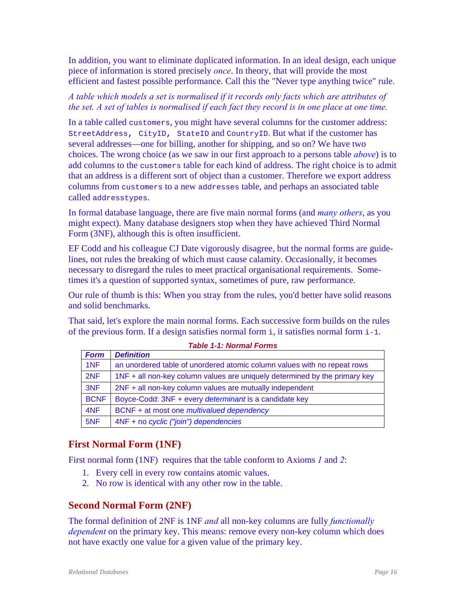In addition, you want to eliminate duplicated information. In an ideal design, each unique piece of information is stored precisely *once*. In theory, that will provide the most efficient and fastest possible performance. Call this the "Never type anything twice" rule.

#### *A table which models a set is normalised if it records only facts which are attributes of the set. A set of tables is normalised if each fact they record is in one place at one time.*

In a table called customers, you might have several columns for the customer address: StreetAddress, CityID, StateID and CountryID. But what if the customer has several addresses—one for billing, another for shipping, and so on? We have two choices. The wrong choice (as we saw in our first approach to a persons table *[above](#page-3-0)*) is to add columns to the customers table for each kind of address. The right choice is to admit that an address is a different sort of object than a customer. Therefore we export address columns from customers to a new addresses table, and perhaps an associated table called addresstypes.

In formal database language, there are five main normal forms (and *[many others](http://cs.wwc.edu/~aabyan/Logic/normal.html)*, as you might expect). Many database designers stop when they have achieved Third Normal Form (3NF), although this is often insufficient.

EF Codd and his colleague CJ Date vigorously disagree, but the normal forms are guidelines, not rules the breaking of which must cause calamity. Occasionally, it becomes necessary to disregard the rules to meet practical organisational requirements. Sometimes it's a question of supported syntax, sometimes of pure, raw performance.

Our rule of thumb is this: When you stray from the rules, you'd better have solid reasons and solid benchmarks.

That said, let's explore the main normal forms. Each successive form builds on the rules of the previous form. If a design satisfies normal form  $\pm$ , it satisfies normal form  $\pm$ -1.

| <b>Form</b> | <b>Definition</b>                                                          |
|-------------|----------------------------------------------------------------------------|
| 1NF         | an unordered table of unordered atomic column values with no repeat rows   |
| 2NF         | 1NF + all non-key column values are uniquely determined by the primary key |
| 3NF         | 2NF + all non-key column values are mutually independent                   |
| <b>BCNF</b> | Boyce-Codd: 3NF + every <i>determinant</i> is a candidate key              |
| 4NF         | BCNF + at most one <i>multivalued dependency</i>                           |
| 5NF         | 4NF + no cyclic ("join") dependencies                                      |

#### *Table 1-1: Normal Forms*

### **First Normal Form (1NF)**

First normal form (1NF) requires that the table conform to Axioms *[1](#page-7-1)* and *[2](#page-7-2)*:

- 1. Every cell in every row contains atomic values.
- 2. No row is identical with any other row in the table.

### **Second Normal Form (2NF)**

The formal definition of 2NF is 1NF *and* all non-key columns are fully *[functionally](#page-0-1)  [dependent](#page-0-1)* on the primary key. This means: remove every non-key column which does not have exactly one value for a given value of the primary key.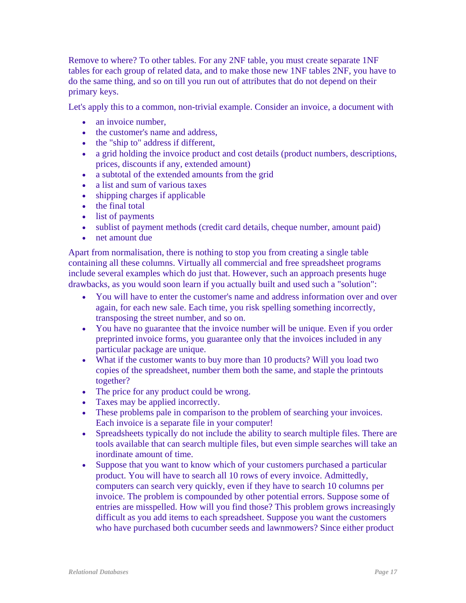Remove to where? To other tables. For any 2NF table, you must create separate 1NF tables for each group of related data, and to make those new 1NF tables 2NF, you have to do the same thing, and so on till you run out of attributes that do not depend on their primary keys.

Let's apply this to a common, non-trivial example. Consider an invoice, a document with

- an invoice number,
- the customer's name and address.
- the "ship to" address if different,
- a grid holding the invoice product and cost details (product numbers, descriptions, prices, discounts if any, extended amount)
- a subtotal of the extended amounts from the grid
- a list and sum of various taxes
- shipping charges if applicable
- the final total
- list of payments
- sublist of payment methods (credit card details, cheque number, amount paid)
- net amount due

Apart from normalisation, there is nothing to stop you from creating a single table containing all these columns. Virtually all commercial and free spreadsheet programs include several examples which do just that. However, such an approach presents huge drawbacks, as you would soon learn if you actually built and used such a "solution":

- You will have to enter the customer's name and address information over and over again, for each new sale. Each time, you risk spelling something incorrectly, transposing the street number, and so on.
- You have no guarantee that the invoice number will be unique. Even if you order preprinted invoice forms, you guarantee only that the invoices included in any particular package are unique.
- What if the customer wants to buy more than 10 products? Will you load two copies of the spreadsheet, number them both the same, and staple the printouts together?
- The price for any product could be wrong.
- Taxes may be applied incorrectly.
- These problems pale in comparison to the problem of searching your invoices. Each invoice is a separate file in your computer!
- Spreadsheets typically do not include the ability to search multiple files. There are tools available that can search multiple files, but even simple searches will take an inordinate amount of time.
- Suppose that you want to know which of your customers purchased a particular product. You will have to search all 10 rows of every invoice. Admittedly, computers can search very quickly, even if they have to search 10 columns per invoice. The problem is compounded by other potential errors. Suppose some of entries are misspelled. How will you find those? This problem grows increasingly difficult as you add items to each spreadsheet. Suppose you want the customers who have purchased both cucumber seeds and lawnmowers? Since either product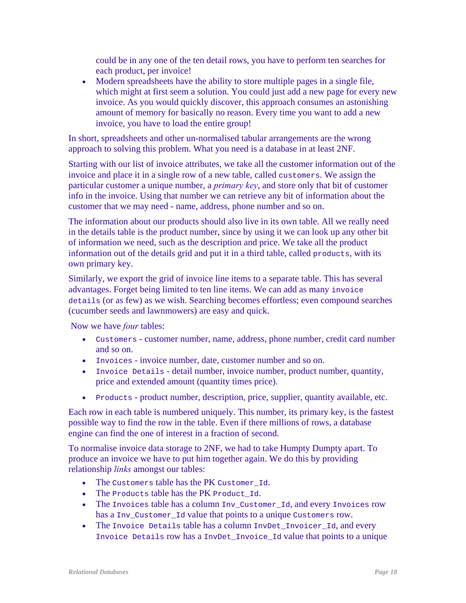could be in any one of the ten detail rows, you have to perform ten searches for each product, per invoice!

• Modern spreadsheets have the ability to store multiple pages in a single file, which might at first seem a solution. You could just add a new page for every new invoice. As you would quickly discover, this approach consumes an astonishing amount of memory for basically no reason. Every time you want to add a new invoice, you have to load the entire group!

In short, spreadsheets and other un-normalised tabular arrangements are the wrong approach to solving this problem. What you need is a database in at least 2NF.

Starting with our list of invoice attributes, we take all the customer information out of the invoice and place it in a single row of a new table, called customers. We assign the particular customer a unique number, a *primary key*, and store only that bit of customer info in the invoice. Using that number we can retrieve any bit of information about the customer that we may need - name, address, phone number and so on.

The information about our products should also live in its own table. All we really need in the details table is the product number, since by using it we can look up any other bit of information we need, such as the description and price. We take all the product information out of the details grid and put it in a third table, called products, with its own primary key.

Similarly, we export the grid of invoice line items to a separate table. This has several advantages. Forget being limited to ten line items. We can add as many invoice details (or as few) as we wish. Searching becomes effortless; even compound searches (cucumber seeds and lawnmowers) are easy and quick.

Now we have *four* tables:

- Customers customer number, name, address, phone number, credit card number and so on.
- Invoices invoice number, date, customer number and so on.
- Invoice Details detail number, invoice number, product number, quantity, price and extended amount (quantity times price).
- Products product number, description, price, supplier, quantity available, etc.

Each row in each table is numbered uniquely. This number, its primary key, is the fastest possible way to find the row in the table. Even if there millions of rows, a database engine can find the one of interest in a fraction of second.

To normalise invoice data storage to 2NF, we had to take Humpty Dumpty apart. To produce an invoice we have to put him together again. We do this by providing relationship *links* amongst our tables:

- The Customers table has the PK Customer Id.
- The Products table has the PK Product Id.
- The Invoices table has a column Inv\_Customer\_Id, and every Invoices row has a Inv\_Customer\_Id value that points to a unique Customers row.
- The Invoice Details table has a column InvDet\_Invoicer\_Id, and every Invoice Details row has a InvDet\_Invoice\_Id value that points to a unique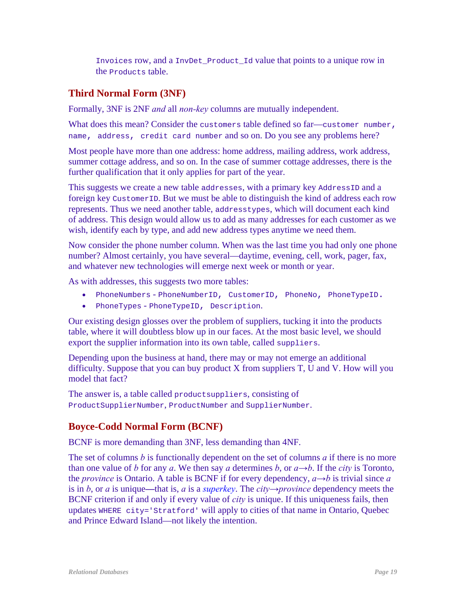Invoices row, and a InvDet\_Product\_Id value that points to a unique row in the Products table.

## **Third Normal Form (3NF)**

Formally, 3NF is 2NF *and* all *non-key* columns are mutually independent.

What does this mean? Consider the customers table defined so far—customer number, name, address, credit card number and so on. Do you see any problems here?

Most people have more than one address: home address, mailing address, work address, summer cottage address, and so on. In the case of summer cottage addresses, there is the further qualification that it only applies for part of the year.

This suggests we create a new table addresses, with a primary key AddressID and a foreign key CustomerID. But we must be able to distinguish the kind of address each row represents. Thus we need another table, addresstypes, which will document each kind of address. This design would allow us to add as many addresses for each customer as we wish, identify each by type, and add new address types anytime we need them.

Now consider the phone number column. When was the last time you had only one phone number? Almost certainly, you have several—daytime, evening, cell, work, pager, fax, and whatever new technologies will emerge next week or month or year.

As with addresses, this suggests two more tables:

- PhoneNumbers PhoneNumberID, CustomerID, PhoneNo, PhoneTypeID.
- PhoneTypes PhoneTypeID, Description.

Our existing design glosses over the problem of suppliers, tucking it into the products table, where it will doubtless blow up in our faces. At the most basic level, we should export the supplier information into its own table, called suppliers.

Depending upon the business at hand, there may or may not emerge an additional difficulty. Suppose that you can buy product X from suppliers T, U and V. How will you model that fact?

The answer is, a table called product suppliers, consisting of ProductSupplierNumber, ProductNumber and SupplierNumber.

## **Boyce-Codd Normal Form (BCNF)**

BCNF is more demanding than 3NF, less demanding than 4NF.

The set of columns *b* is functionally dependent on the set of columns *a* if there is no more than one value of *b* for any *a*. We then say *a* determines *b*, or  $a \rightarrow b$ . If the *city* is Toronto, the *province* is Ontario. A table is BCNF if for every dependency,  $a \rightarrow b$  is trivial since *a* is in *b*, or *a* is unique**—**that is, *a* is a *[superkey](#page-0-1)*. The *city→province* dependency meets the BCNF criterion if and only if every value of *city* is unique. If this uniqueness fails, then updates WHERE city='Stratford' will apply to cities of that name in Ontario, Quebec and Prince Edward Island—not likely the intention.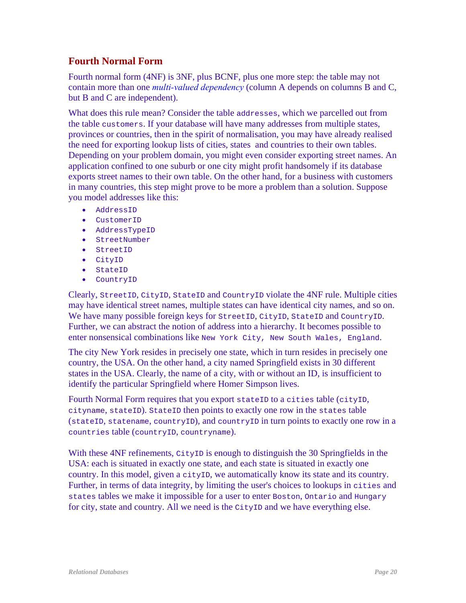## **Fourth Normal Form**

<span id="page-19-0"></span>Fourth normal form (4NF) is 3NF, plus BCNF, plus one more step: the table may not contain more than one *[multi-valued dependency](#page-0-1)* (column A depends on columns B and C, but B and C are independent).

What does this rule mean? Consider the table addresses, which we parcelled out from the table customers. If your database will have many addresses from multiple states, provinces or countries, then in the spirit of normalisation, you may have already realised the need for exporting lookup lists of cities, states and countries to their own tables. Depending on your problem domain, you might even consider exporting street names. An application confined to one suburb or one city might profit handsomely if its database exports street names to their own table. On the other hand, for a business with customers in many countries, this step might prove to be more a problem than a solution. Suppose you model addresses like this:

- AddressID
- CustomerID
- AddressTypeID
- StreetNumber
- StreetID
- CityID
- StateID
- CountryID

Clearly, StreetID, CityID, StateID and CountryID violate the 4NF rule. Multiple cities may have identical street names, multiple states can have identical city names, and so on. We have many possible foreign keys for StreetID, CityID, StateID and CountryID. Further, we can abstract the notion of address into a hierarchy. It becomes possible to enter nonsensical combinations like New York City, New South Wales, England.

The city New York resides in precisely one state, which in turn resides in precisely one country, the USA. On the other hand, a city named Springfield exists in 30 different states in the USA. Clearly, the name of a city, with or without an ID, is insufficient to identify the particular Springfield where Homer Simpson lives.

Fourth Normal Form requires that you export stateID to a cities table (cityID, cityname, stateID). StateID then points to exactly one row in the states table (stateID, statename, countryID), and countryID in turn points to exactly one row in a countries table (countryID, countryname).

With these 4NF refinements, CityID is enough to distinguish the 30 Springfields in the USA: each is situated in exactly one state, and each state is situated in exactly one country. In this model, given a cityID, we automatically know its state and its country. Further, in terms of data integrity, by limiting the user's choices to lookups in cities and states tables we make it impossible for a user to enter Boston, Ontario and Hungary for city, state and country. All we need is the CityID and we have everything else.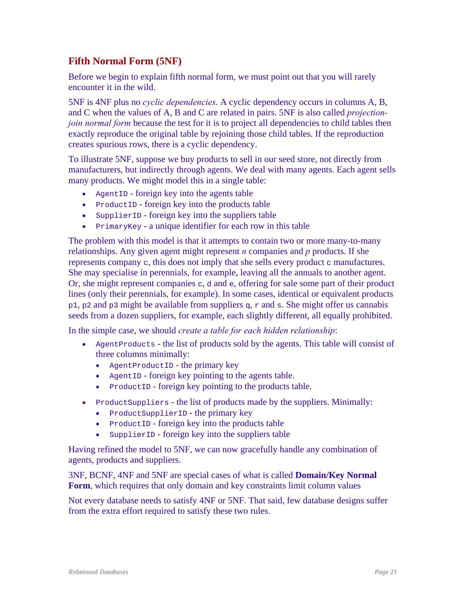## **Fifth Normal Form (5NF)**

Before we begin to explain fifth normal form, we must point out that you will rarely encounter it in the wild.

<span id="page-20-0"></span>5NF is 4NF plus no *cyclic dependencies*. A cyclic dependency occurs in columns A, B, and C when the values of A, B and C are related in pairs. 5NF is also called *projectionjoin normal form* because the test for it is to project all dependencies to child tables then exactly reproduce the original table by rejoining those child tables. If the reproduction creates spurious rows, there is a cyclic dependency.

To illustrate 5NF, suppose we buy products to sell in our seed store, not directly from manufacturers, but indirectly through agents. We deal with many agents. Each agent sells many products. We might model this in a single table:

- AgentID foreign key into the agents table
- ProductID foreign key into the products table
- SupplierID foreign key into the suppliers table
- PrimaryKey a unique identifier for each row in this table

The problem with this model is that it attempts to contain two or more many-to-many relationships. Any given agent might represent *n* companies and *p* products. If she represents company c, this does not imply that she sells every product c manufactures. She may specialise in perennials, for example, leaving all the annuals to another agent. Or, she might represent companies  $c, d$  and  $e,$  offering for sale some part of their product lines (only their perennials, for example). In some cases, identical or equivalent products  $p1$ ,  $p2$  and  $p3$  might be available from suppliers q, r and s. She might offer us cannabis seeds from a dozen suppliers, for example, each slightly different, all equally prohibited.

In the simple case, we should *create a table for each hidden relationship*:

- AgentProducts the list of products sold by the agents. This table will consist of three columns minimally:
	- AgentProductID the primary key
	- AgentID foreign key pointing to the agents table.
	- ProductID foreign key pointing to the products table.
- ProductSuppliers the list of products made by the suppliers. Minimally:
	- ProductSupplierID the primary key
	- ProductID foreign key into the products table
	- SupplierID foreign key into the suppliers table

Having refined the model to 5NF, we can now gracefully handle any combination of agents, products and suppliers.

3NF, BCNF, 4NF and 5NF are special cases of what is called **Domain/Key Normal Form**, which requires that only domain and key constraints limit column values

Not every database needs to satisfy 4NF or 5NF. That said, few database designs suffer from the extra effort required to satisfy these two rules.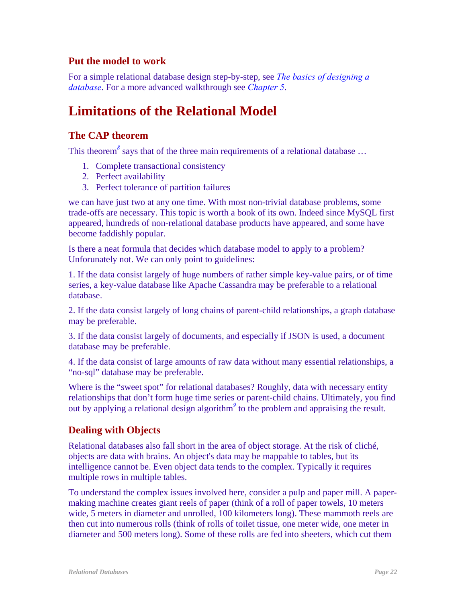## **Put the model to work**

For a simple relational database design step-by-step, see *[The basics of designing a](http://www.artfulsoftware.com/dbdesignbasics.html)  [database](http://www.artfulsoftware.com/dbdesignbasics.html)*. For a more advanced walkthrough see *[Chapter 5](#page-0-1)*.

# <span id="page-21-0"></span>**Limitations of the Relational Model**

## **The CAP theorem**

Thistheorem<sup>8</sup> says that of the three main requirements of a relational database ...

- 1. Complete transactional consistency
- 2. Perfect availability
- 3. Perfect tolerance of partition failures

we can have just two at any one time. With most non-trivial database problems, some trade-offs are necessary. This topic is worth a book of its own. Indeed since MySQL first appeared, hundreds of non-relational database products have appeared, and some have become faddishly popular.

Is there a neat formula that decides which database model to apply to a problem? Unforunately not. We can only point to guidelines:

1. If the data consist largely of huge numbers of rather simple key-value pairs, or of time series, a key-value database like Apache Cassandra may be preferable to a relational database.

2. If the data consist largely of long chains of parent-child relationships, a graph database may be preferable.

3. If the data consist largely of documents, and especially if JSON is used, a document database may be preferable.

4. If the data consist of large amounts of raw data without many essential relationships, a "no-sql" database may be preferable.

Where is the "sweet spot" for relational databases? Roughly, data with necessary entity relationships that don't form huge time series or parent-child chains. Ultimately, you find outby applying a relational design algorithm<sup>9</sup> to the problem and appraising the result.

## **Dealing with Objects**

Relational databases also fall short in the area of object storage. At the risk of cliché, objects are data with brains. An object's data may be mappable to tables, but its intelligence cannot be. Even object data tends to the complex. Typically it requires multiple rows in multiple tables.

To understand the complex issues involved here, consider a pulp and paper mill. A papermaking machine creates giant reels of paper (think of a roll of paper towels, 10 meters wide, 5 meters in diameter and unrolled, 100 kilometers long). These mammoth reels are then cut into numerous rolls (think of rolls of toilet tissue, one meter wide, one meter in diameter and 500 meters long). Some of these rolls are fed into sheeters, which cut them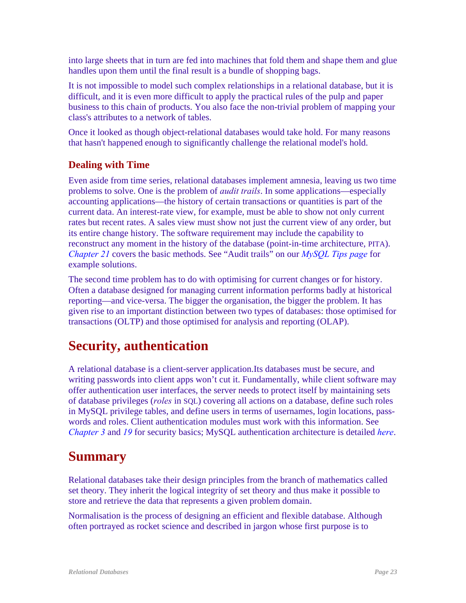into large sheets that in turn are fed into machines that fold them and shape them and glue handles upon them until the final result is a bundle of shopping bags.

It is not impossible to model such complex relationships in a relational database, but it is difficult, and it is even more difficult to apply the practical rules of the pulp and paper business to this chain of products. You also face the non-trivial problem of mapping your class's attributes to a network of tables.

Once it looked as though object-relational databases would take hold. For many reasons that hasn't happened enough to significantly challenge the relational model's hold.

## **Dealing with Time**

Even aside from time series, relational databases implement amnesia, leaving us two time problems to solve. One is the problem of *audit trails*. In some applications—especially accounting applications—the history of certain transactions or quantities is part of the current data. An interest-rate view, for example, must be able to show not only current rates but recent rates. A sales view must show not just the current view of any order, but its entire change history. The software requirement may include the capability to reconstruct any moment in the history of the database (point-in-time architecture, PITA). *[Chapter 21](#page-0-1)* covers the basic methods. See "Audit trails" on our *[MySQL Tips page](http://www.artfulsoftware.com/infotree/mysqltips.php)* for example solutions.

The second time problem has to do with optimising for current changes or for history. Often a database designed for managing current information performs badly at historical reporting—and vice-versa. The bigger the organisation, the bigger the problem. It has given rise to an important distinction between two types of databases: those optimised for transactions (OLTP) and those optimised for analysis and reporting (OLAP).

## **Security, authentication**

A relational database is a client-server application.Its databases must be secure, and writing passwords into client apps won't cut it. Fundamentally, while client software may offer authentication user interfaces, the server needs to protect itself by maintaining sets of database privileges (*roles* in SQL) covering all actions on a database, define such roles in MySQL privilege tables, and define users in terms of usernames, login locations, passwords and roles. Client authentication modules must work with this information. See *[Chapter 3](#page-0-1)* and *[19](#page-0-1)* for security basics; MySQL authentication architecture is detailed *[here](https://dev.mysql.com/doc/mysql-secure-deployment-guide/8.0/en/secure-deployment-configure-authentication.html)*.

## **Summary**

Relational databases take their design principles from the branch of mathematics called set theory. They inherit the logical integrity of set theory and thus make it possible to store and retrieve the data that represents a given problem domain.

Normalisation is the process of designing an efficient and flexible database. Although often portrayed as rocket science and described in jargon whose first purpose is to